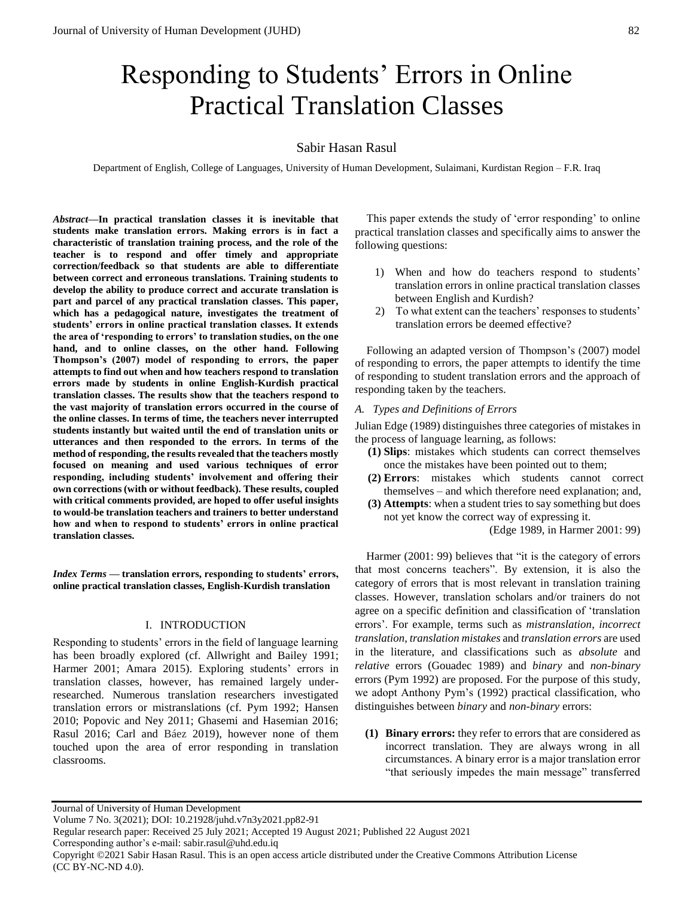# Responding to Students' Errors in Online Practical Translation Classes

# Sabir Hasan Rasul

Department of English, College of Languages, University of Human Development, Sulaimani, Kurdistan Region – F.R. Iraq

*Abstract***—In practical translation classes it is inevitable that students make translation errors. Making errors is in fact a characteristic of translation training process, and the role of the teacher is to respond and offer timely and appropriate correction/feedback so that students are able to differentiate between correct and erroneous translations. Training students to develop the ability to produce correct and accurate translation is part and parcel of any practical translation classes. This paper, which has a pedagogical nature, investigates the treatment of students' errors in online practical translation classes. It extends the area of 'responding to errors' to translation studies, on the one hand, and to online classes, on the other hand. Following Thompson's (2007) model of responding to errors, the paper attempts to find out when and how teachers respond to translation errors made by students in online English-Kurdish practical translation classes. The results show that the teachers respond to the vast majority of translation errors occurred in the course of the online classes. In terms of time, the teachers never interrupted students instantly but waited until the end of translation units or utterances and then responded to the errors. In terms of the method of responding, the results revealed that the teachers mostly focused on meaning and used various techniques of error responding, including students' involvement and offering their own corrections (with or without feedback). These results, coupled with critical comments provided, are hoped to offer useful insights to would-be translation teachers and trainers to better understand how and when to respond to students' errors in online practical translation classes.** 

*Index Terms* **— translation errors, responding to students' errors, online practical translation classes, English-Kurdish translation**

## I. INTRODUCTION

Responding to students' errors in the field of language learning has been broadly explored (cf. Allwright and Bailey 1991; Harmer 2001; Amara 2015). Exploring students' errors in translation classes, however, has remained largely underresearched. Numerous translation researchers investigated translation errors or mistranslations (cf. Pym 1992; Hansen 2010; Popovic and Ney 2011; Ghasemi and Hasemian 2016; Rasul 2016; Carl and Báez 2019), however none of them touched upon the area of error responding in translation classrooms.

This paper extends the study of 'error responding' to online practical translation classes and specifically aims to answer the following questions:

- 1) When and how do teachers respond to students' translation errors in online practical translation classes between English and Kurdish?
- 2) To what extent can the teachers' responses to students' translation errors be deemed effective?

Following an adapted version of Thompson's (2007) model of responding to errors, the paper attempts to identify the time of responding to student translation errors and the approach of responding taken by the teachers.

# *A. Types and Definitions of Errors*

Julian Edge (1989) distinguishes three categories of mistakes in the process of language learning, as follows:

- **(1) Slips**: mistakes which students can correct themselves once the mistakes have been pointed out to them;
- **(2) Errors**: mistakes which students cannot correct themselves – and which therefore need explanation; and,
- **(3) Attempts**: when a student tries to say something but does not yet know the correct way of expressing it.

(Edge 1989, in Harmer 2001: 99)

Harmer (2001: 99) believes that "it is the category of errors that most concerns teachers". By extension, it is also the category of errors that is most relevant in translation training classes. However, translation scholars and/or trainers do not agree on a specific definition and classification of 'translation errors'. For example, terms such as *mistranslation*, *incorrect translation*, *translation mistakes* and *translation errors* are used in the literature, and classifications such as *absolute* and *relative* errors (Gouadec 1989) and *binary* and *non-binary* errors (Pym 1992) are proposed. For the purpose of this study, we adopt Anthony Pym's (1992) practical classification, who distinguishes between *binary* and *non-binary* errors:

**(1) Binary errors:** they refer to errors that are considered as incorrect translation. They are always wrong in all circumstances. A binary error is a major translation error "that seriously impedes the main message" transferred

Journal of University of Human Development

Volume 7 No. 3(2021); DOI: 10.21928/juhd.v7n3y2021.pp82-91

Regular research paper: Received 25 July 2021; Accepted 19 August 2021; Published 22 August 2021

Corresponding author's e-mail: sabir.rasul@uhd.edu.iq

Copyright ©2021 Sabir Hasan Rasul. This is an open access article distributed under the Creative Commons Attribution License (CC BY-NC-ND 4.0).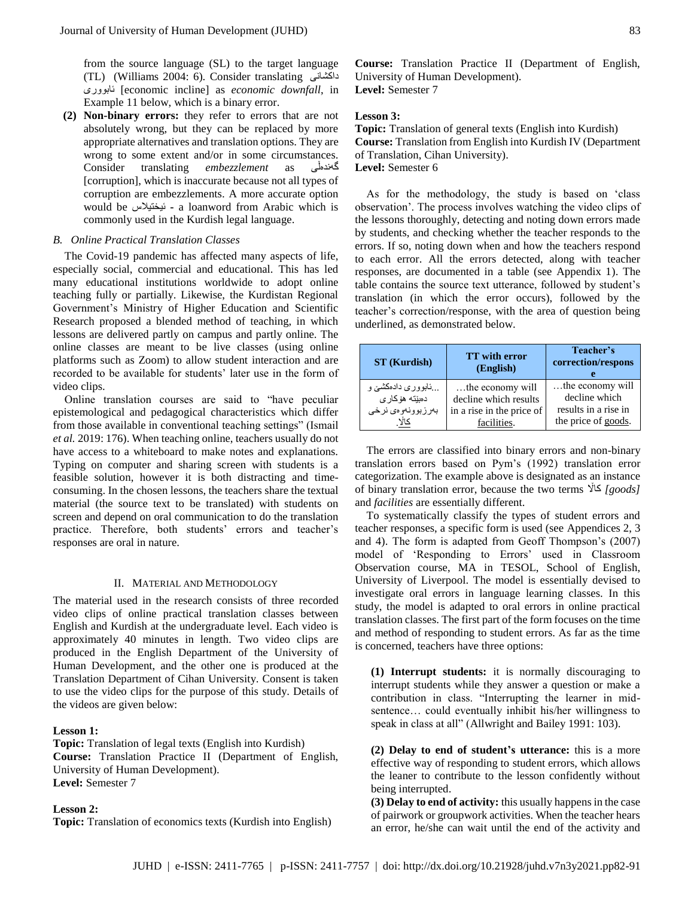from the source language (SL) to the target language (TL) (Williams 2004: 6). Consider translating داكشانی ئابووری] economic incline] as *economic downfall*, in Example 11 below, which is a binary error.

**(2) Non-binary errors:** they refer to errors that are not absolutely wrong, but they can be replaced by more appropriate alternatives and translation options. They are wrong to some extent and/or in some circumstances.<br>Consider translating *embezzlement* as  $\overrightarrow{c}$ Consider translating *embezzlement* as [corruption], which is inaccurate because not all types of corruption are embezzlements. A more accurate option would be ئیختیالس **-** a loanword from Arabic which is commonly used in the Kurdish legal language.

#### *B. Online Practical Translation Classes*

The Covid-19 pandemic has affected many aspects of life, especially social, commercial and educational. This has led many educational institutions worldwide to adopt online teaching fully or partially. Likewise, the Kurdistan Regional Government's Ministry of Higher Education and Scientific Research proposed a blended method of teaching, in which lessons are delivered partly on campus and partly online. The online classes are meant to be live classes (using online platforms such as Zoom) to allow student interaction and are recorded to be available for students' later use in the form of video clips.

Online translation courses are said to "have peculiar epistemological and pedagogical characteristics which differ from those available in conventional teaching settings" (Ismail *et al.* 2019: 176). When teaching online, teachers usually do not have access to a whiteboard to make notes and explanations. Typing on computer and sharing screen with students is a feasible solution, however it is both distracting and timeconsuming. In the chosen lessons, the teachers share the textual material (the source text to be translated) with students on screen and depend on oral communication to do the translation practice. Therefore, both students' errors and teacher's responses are oral in nature.

#### II. MATERIAL AND METHODOLOGY

The material used in the research consists of three recorded video clips of online practical translation classes between English and Kurdish at the undergraduate level. Each video is approximately 40 minutes in length. Two video clips are produced in the English Department of the University of Human Development, and the other one is produced at the Translation Department of Cihan University. Consent is taken to use the video clips for the purpose of this study. Details of the videos are given below:

### **Lesson 1:**

**Topic:** Translation of legal texts (English into Kurdish) **Course:** Translation Practice II (Department of English, University of Human Development). **Level:** Semester 7

# **Lesson 2:**

**Topic:** Translation of economics texts (Kurdish into English)

**Course:** Translation Practice II (Department of English, University of Human Development). **Level:** Semester 7

#### **Lesson 3:**

**Topic:** Translation of general texts (English into Kurdish) **Course:** Translation from English into Kurdish IV (Department of Translation, Cihan University). **Level:** Semester 6

As for the methodology, the study is based on 'class observation'. The process involves watching the video clips of the lessons thoroughly, detecting and noting down errors made by students, and checking whether the teacher responds to the errors. If so, noting down when and how the teachers respond to each error. All the errors detected, along with teacher responses, are documented in a table (see Appendix 1). The table contains the source text utterance, followed by student's translation (in which the error occurs), followed by the teacher's correction/response, with the area of question being underlined, as demonstrated below.

| <b>ST</b> (Kurdish)                                       | <b>TT</b> with error<br>(English)                                                     | Teacher's<br>correction/respons                                                  |
|-----------------------------------------------------------|---------------------------------------------------------------------------------------|----------------------------------------------------------------------------------|
| …ئابوورى دادەكشىن و<br>دمييته هۆكارى<br>بەرزبوونەوەي نرخى | the economy will<br>decline which results<br>in a rise in the price of<br>facilities. | the economy will<br>decline which<br>results in a rise in<br>the price of goods. |

The errors are classified into binary errors and non-binary translation errors based on Pym's (1992) translation error categorization. The example above is designated as an instance of binary translation error, because the two terms كااڵ*] goods]* and *facilities* are essentially different.

To systematically classify the types of student errors and teacher responses, a specific form is used (see Appendices 2, 3 and 4). The form is adapted from Geoff Thompson's (2007) model of 'Responding to Errors' used in Classroom Observation course, MA in TESOL, School of English, University of Liverpool. The model is essentially devised to investigate oral errors in language learning classes. In this study, the model is adapted to oral errors in online practical translation classes. The first part of the form focuses on the time and method of responding to student errors. As far as the time is concerned, teachers have three options:

**(1) Interrupt students:** it is normally discouraging to interrupt students while they answer a question or make a contribution in class. "Interrupting the learner in midsentence… could eventually inhibit his/her willingness to speak in class at all" (Allwright and Bailey 1991: 103).

**(2) Delay to end of student's utterance:** this is a more effective way of responding to student errors, which allows the leaner to contribute to the lesson confidently without being interrupted.

**(3) Delay to end of activity:** this usually happens in the case of pairwork or groupwork activities. When the teacher hears an error, he/she can wait until the end of the activity and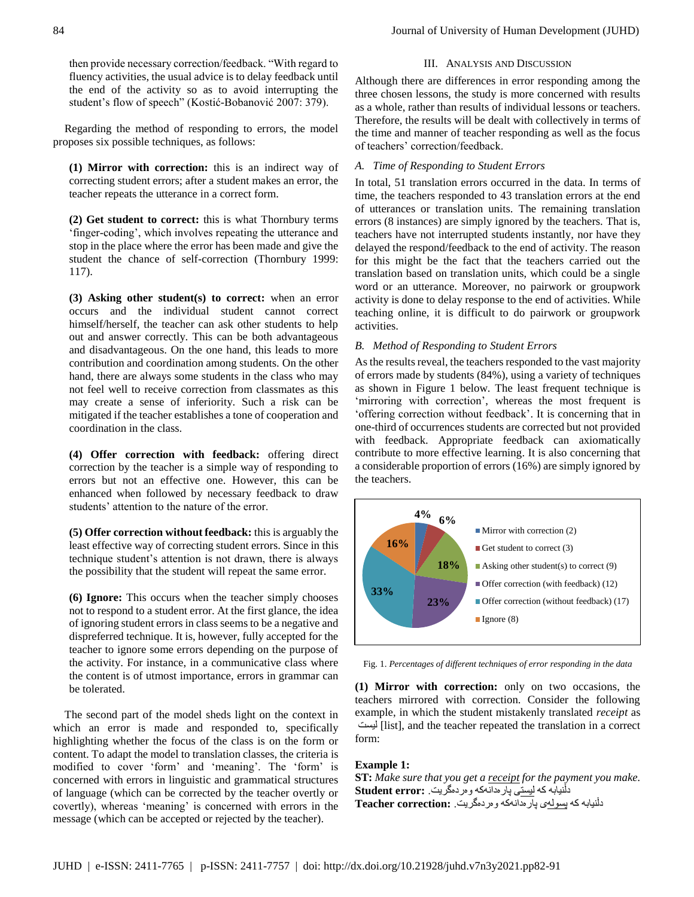then provide necessary correction/feedback. "With regard to fluency activities, the usual advice is to delay feedback until the end of the activity so as to avoid interrupting the student's flow of speech" (Kostić-Bobanović 2007: 379).

Regarding the method of responding to errors, the model proposes six possible techniques, as follows:

**(1) Mirror with correction:** this is an indirect way of correcting student errors; after a student makes an error, the teacher repeats the utterance in a correct form.

**(2) Get student to correct:** this is what Thornbury terms 'finger-coding', which involves repeating the utterance and stop in the place where the error has been made and give the student the chance of self-correction (Thornbury 1999: 117).

**(3) Asking other student(s) to correct:** when an error occurs and the individual student cannot correct himself/herself, the teacher can ask other students to help out and answer correctly. This can be both advantageous and disadvantageous. On the one hand, this leads to more contribution and coordination among students. On the other hand, there are always some students in the class who may not feel well to receive correction from classmates as this may create a sense of inferiority. Such a risk can be mitigated if the teacher establishes a tone of cooperation and coordination in the class.

**(4) Offer correction with feedback:** offering direct correction by the teacher is a simple way of responding to errors but not an effective one. However, this can be enhanced when followed by necessary feedback to draw students' attention to the nature of the error.

**(5) Offer correction without feedback:** this is arguably the least effective way of correcting student errors. Since in this technique student's attention is not drawn, there is always the possibility that the student will repeat the same error.

**(6) Ignore:** This occurs when the teacher simply chooses not to respond to a student error. At the first glance, the idea of ignoring student errors in class seems to be a negative and dispreferred technique. It is, however, fully accepted for the teacher to ignore some errors depending on the purpose of the activity. For instance, in a communicative class where the content is of utmost importance, errors in grammar can be tolerated.

The second part of the model sheds light on the context in which an error is made and responded to, specifically highlighting whether the focus of the class is on the form or content. To adapt the model to translation classes, the criteria is modified to cover 'form' and 'meaning'. The 'form' is concerned with errors in linguistic and grammatical structures of language (which can be corrected by the teacher overtly or covertly), whereas 'meaning' is concerned with errors in the message (which can be accepted or rejected by the teacher).

# III. ANALYSIS AND DISCUSSION

Although there are differences in error responding among the three chosen lessons, the study is more concerned with results as a whole, rather than results of individual lessons or teachers. Therefore, the results will be dealt with collectively in terms of the time and manner of teacher responding as well as the focus of teachers' correction/feedback.

# *A. Time of Responding to Student Errors*

In total, 51 translation errors occurred in the data. In terms of time, the teachers responded to 43 translation errors at the end of utterances or translation units. The remaining translation errors (8 instances) are simply ignored by the teachers. That is, teachers have not interrupted students instantly, nor have they delayed the respond/feedback to the end of activity. The reason for this might be the fact that the teachers carried out the translation based on translation units, which could be a single word or an utterance. Moreover, no pairwork or groupwork activity is done to delay response to the end of activities. While teaching online, it is difficult to do pairwork or groupwork activities.

#### *B. Method of Responding to Student Errors*

As the results reveal, the teachers responded to the vast majority of errors made by students (84%), using a variety of techniques as shown in Figure 1 below. The least frequent technique is 'mirroring with correction', whereas the most frequent is 'offering correction without feedback'. It is concerning that in one-third of occurrences students are corrected but not provided with feedback. Appropriate feedback can axiomatically contribute to more effective learning. It is also concerning that a considerable proportion of errors (16%) are simply ignored by the teachers.



Fig. 1. *Percentages of different techniques of error responding in the data*

**(1) Mirror with correction:** only on two occasions, the teachers mirrored with correction. Consider the following example, in which the student mistakenly translated *receipt* as لیست] list], and the teacher repeated the translation in a correct form:

# **Example 1:**

**ST:** *Make sure that you get a receipt for the payment you make.* دڵنیابه كه لیستی پارهدانهكه وهردهگریت. **:error Student** دڵنیابه كه پسولهی پارهدانهكه وهردهگریت. **:correction Teacher**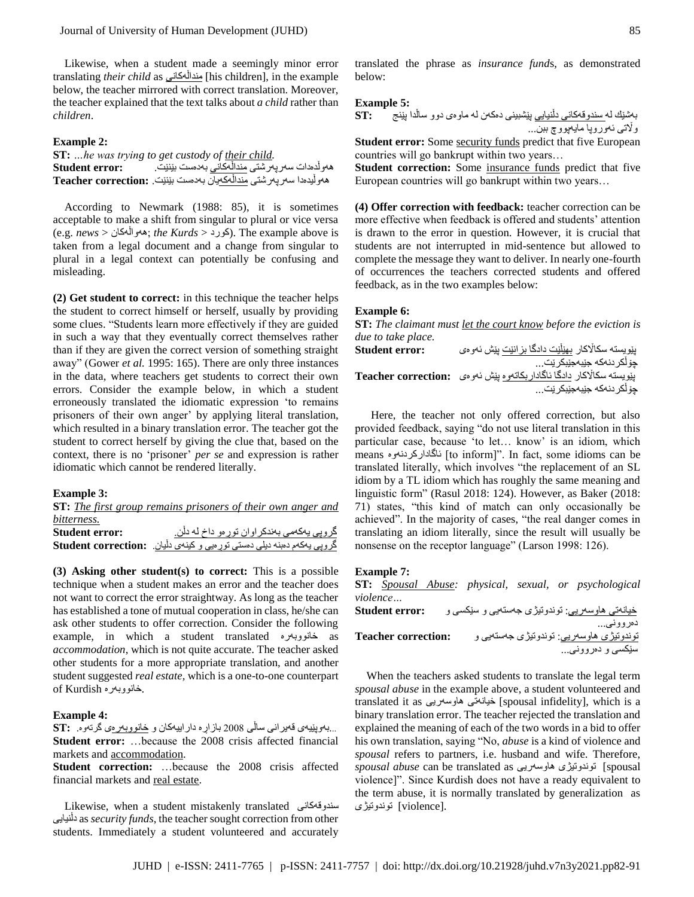Likewise, when a student made a seemingly minor error translating *their child* as منداڵهكانی] his children], in the example below, the teacher mirrored with correct translation. Moreover, the teacher explained that the text talks about *a child* rather than *children*.

# **Example 2:**

| ST: he was trying to get custody of their child.                                 |
|----------------------------------------------------------------------------------|
| هەرلدەدات سەرپەرشتى <u>مندالەكانى</u> بەدەست بێنێت.               Student error: |
| هەولْيدەدا سەرپەرشتى مندالْەكەيان بەدەست بێنێت. :Teacher correction              |

According to Newmark (1988: 85), it is sometimes acceptable to make a shift from singular to plural or vice versa (e.g. *news* > ههواڵهكان ;*the Kurds* > كورد(. The example above is taken from a legal document and a change from singular to plural in a legal context can potentially be confusing and misleading.

**(2) Get student to correct:** in this technique the teacher helps the student to correct himself or herself, usually by providing some clues. "Students learn more effectively if they are guided in such a way that they eventually correct themselves rather than if they are given the correct version of something straight away" (Gower *et al.* 1995: 165). There are only three instances in the data, where teachers get students to correct their own errors. Consider the example below, in which a student erroneously translated the idiomatic expression 'to remains prisoners of their own anger' by applying literal translation, which resulted in a binary translation error. The teacher got the student to correct herself by giving the clue that, based on the context, there is no 'prisoner' *per se* and expression is rather idiomatic which cannot be rendered literally.

#### **Example 3:**

|                       | <b>ST:</b> The first group remains prisoners of their own anger and    |
|-----------------------|------------------------------------------------------------------------|
| bitterness.           |                                                                        |
| <b>Student error:</b> | گرویی پهکەمی بەندكراوان تورەو داخ لە دلن.                              |
|                       | گروپی یهکهم دهبنه دیلی دهستی تورهیی و کینهی دلیان. Student correction: |

**(3) Asking other student(s) to correct:** This is a possible technique when a student makes an error and the teacher does not want to correct the error straightway. As long as the teacher has established a tone of mutual cooperation in class, he/she can ask other students to offer correction. Consider the following example, in which a student translated خانووبهره as *accommodation*, which is not quite accurate. The teacher asked other students for a more appropriate translation, and another student suggested *real estate,* which is a one-to-one counterpart of Kurdish خانووبهره.

# **Example 4:**

...بهوپێیهی قهیرانی ساڵی 2008 بازاڕه داراییهكان و خانووبهرهی گرتهوه. **:ST Student error:** …because the 2008 crisis affected financial markets and accommodation.

**Student correction:** …because the 2008 crisis affected financial markets and real estate.

Likewise, when a student mistakenly translated سندوقهكانی دڵنیایی as *security funds*, the teacher sought correction from other students. Immediately a student volunteered and accurately

# **Example 5:**

بهشێك له سندوقهكانی دڵنیایی پێشبینی دهكهن له ماوهی دوو ساڵدا پێنج **:ST** واڵتی ئهوروپا مایهپووچ ببن... **Student error:** Some security funds predict that five European

countries will go bankrupt within two years…

**Student correction:** Some insurance funds predict that five European countries will go bankrupt within two years…

**(4) Offer correction with feedback:** teacher correction can be more effective when feedback is offered and students' attention is drawn to the error in question. However, it is crucial that students are not interrupted in mid-sentence but allowed to complete the message they want to deliver. In nearly one-fourth of occurrences the teachers corrected students and offered feedback, as in the two examples below:

#### **Example 6:**

**ST:** *The claimant must let the court know before the eviction is due to take place.*

پێویسته سكااڵكار بهێڵێت دادگا بزانێت پێش ئهوهی **:error Student** چۆڵكردنهكه جێبهجێبكرێت... پێویسته سكااڵكار دادگا ئاگاداربكاتهوه پێش ئهوهی **:correction Teacher** چۆڵكردنهكه جێبهجێبكرێت...

Here, the teacher not only offered correction, but also provided feedback, saying "do not use literal translation in this particular case, because 'to let… know' is an idiom, which means ئاگاداركردنهوه] to inform]". In fact, some idioms can be translated literally, which involves "the replacement of an SL idiom by a TL idiom which has roughly the same meaning and linguistic form" (Rasul 2018: 124). However, as Baker (2018: 71) states, "this kind of match can only occasionally be achieved". In the majority of cases, "the real danger comes in translating an idiom literally, since the result will usually be nonsense on the receptor language" (Larson 1998: 126).

#### **Example 7:**

**ST:** *Spousal Abuse: physical, sexual, or psychological violence…*

| <b>Student error:</b>      | <u>خپانەتى ھاوسەريى:</u> توندوتيژى جەستەيى و سێکسى و |
|----------------------------|------------------------------------------------------|
|                            | دەروونى                                              |
| <b>Teacher correction:</b> | <u>توندوتیژی هاوسەریی:</u> توندوتیژی جەستەیی و       |
|                            | سێکسی و دەروونى                                      |

When the teachers asked students to translate the legal term *spousal abuse* in the example above, a student volunteered and translated it as هاوسهریی خیانهتی] spousal infidelity], which is a binary translation error. The teacher rejected the translation and explained the meaning of each of the two words in a bid to offer his own translation, saying "No, *abuse* is a kind of violence and *spousal* refers to partners, i.e. husband and wife. Therefore, *spousal abuse* can be translated as هاوسهریی توندوتیژی] spousal violence]". Since Kurdish does not have a ready equivalent to the term abuse, it is normally translated by generalization as .[violence] توندوتیژی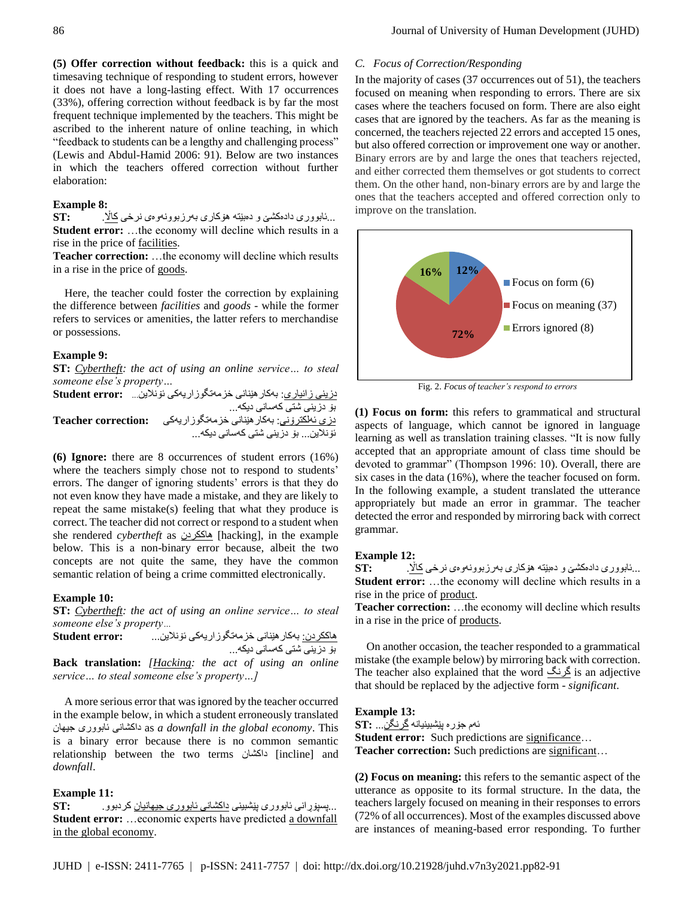**(5) Offer correction without feedback:** this is a quick and timesaving technique of responding to student errors, however it does not have a long-lasting effect. With 17 occurrences (33%), offering correction without feedback is by far the most frequent technique implemented by the teachers. This might be ascribed to the inherent nature of online teaching, in which "feedback to students can be a lengthy and challenging process" (Lewis and Abdul-Hamid 2006: 91). Below are two instances in which the teachers offered correction without further elaboration:

# **Example 8:**

...ئابووری دادهكشێ و دهبێته هۆكاری بهرزبوونهوهی نرخی كااڵ. **:ST Student error:** …the economy will decline which results in a rise in the price of facilities.

**Teacher correction:** …the economy will decline which results in a rise in the price of goods.

Here, the teacher could foster the correction by explaining the difference between *facilities* and *goods* - while the former refers to services or amenities, the latter refers to merchandise or possessions.

# **Example 9:**

**ST:** *Cybertheft: the act of using an online service… to steal someone else's property…*

دزینی زانیاری: بهكارهێنانی خزمهتگوزاریهكی ئۆنالین... **:error Student** بۆ دزینی شتی كهسانی دیكه... دزی ئهلكترۆنی: بهكارهێنانی خزمهتگوزاریهكی **:correction Teacher** ئۆنالین... بۆ دزینی شتی كهسانی دیكه...

**(6) Ignore:** there are 8 occurrences of student errors (16%) where the teachers simply chose not to respond to students' errors. The danger of ignoring students' errors is that they do not even know they have made a mistake, and they are likely to repeat the same mistake(s) feeling that what they produce is correct. The teacher did not correct or respond to a student when she rendered *cybertheft* as هاككردن] hacking], in the example below. This is a non-binary error because, albeit the two concepts are not quite the same, they have the common semantic relation of being a crime committed electronically.

## **Example 10:**

**ST:** *Cybertheft: the act of using an online service… to steal someone else's property…*

هاككردن: بهكارهێنانی خزمهتگوزاریهكی ئۆنالین... **:error Student** بۆ دزینی شتی كهسانی دیكه...

**Back translation:** *[Hacking: the act of using an online service… to steal someone else's property…]*

A more serious error that was ignored by the teacher occurred in the example below, in which a student erroneously translated جیهان ئابووری داكشانی as *a downfall in the global economy*. This is a binary error because there is no common semantic relationship between the two terms داكشان] incline] and *downfall*.

## **Example 11:**

...پسپۆڕانی ئابووری پێشبینی داكشانی ئابووری جیهانیان كردبوو. **:ST Student error:** ...economic experts have predicted a downfall in the global economy.

#### *C. Focus of Correction/Responding*

In the majority of cases (37 occurrences out of 51), the teachers focused on meaning when responding to errors. There are six cases where the teachers focused on form. There are also eight cases that are ignored by the teachers. As far as the meaning is concerned, the teachers rejected 22 errors and accepted 15 ones, but also offered correction or improvement one way or another. Binary errors are by and large the ones that teachers rejected, and either corrected them themselves or got students to correct them. On the other hand, non-binary errors are by and large the ones that the teachers accepted and offered correction only to improve on the translation.



Fig. 2. *Focus of teacher's respond to errors*

**(1) Focus on form:** this refers to grammatical and structural aspects of language, which cannot be ignored in language learning as well as translation training classes. "It is now fully accepted that an appropriate amount of class time should be devoted to grammar" (Thompson 1996: 10). Overall, there are six cases in the data (16%), where the teacher focused on form. In the following example, a student translated the utterance appropriately but made an error in grammar. The teacher detected the error and responded by mirroring back with correct grammar.

# **Example 12:**

...ئابووری دادهكشێ و دهبێته هۆكاری بهرزبوونهوهی نرخی كااڵ. **:ST Student error:** …the economy will decline which results in a rise in the price of product.

**Teacher correction:** …the economy will decline which results in a rise in the price of products.

On another occasion, the teacher responded to a grammatical mistake (the example below) by mirroring back with correction. The teacher also explained that the word گرنگ is an adjective that should be replaced by the adjective form - *significant*.

#### **Example 13:**

ئهم جۆره پێشبینیانه گرنگن... **:ST**

**Student error:** Such predictions are significance... Teacher correction: Such predictions are significant...

**(2) Focus on meaning:** this refers to the semantic aspect of the utterance as opposite to its formal structure. In the data, the teachers largely focused on meaning in their responses to errors (72% of all occurrences). Most of the examples discussed above are instances of meaning-based error responding. To further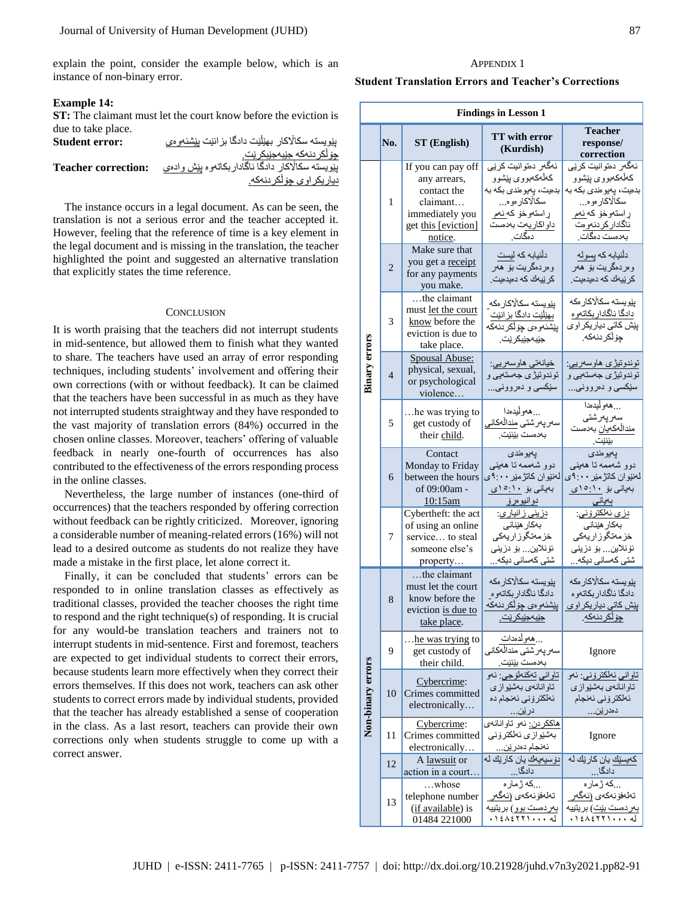explain the point, consider the example below, which is an instance of non-binary error.

# **Example 14:**

**ST:** The claimant must let the court know before the eviction is due to take place.

| <b>Student error:</b>      | بِيْويسته سكالاكار بهيْلَيْت دادگا بز انێت بِيْشْئەو ،ى |
|----------------------------|---------------------------------------------------------|
|                            | چۆڵكر دنەكە جێبەجێبكر ێت.                               |
| <b>Teacher correction:</b> | يێويسته سكالاكار دادگا ئاگاداربكاتموه يێش وادهى         |
|                            | دياريكر اوي چۆلكر دنەكە.                                |

The instance occurs in a legal document. As can be seen, the translation is not a serious error and the teacher accepted it. However, feeling that the reference of time is a key element in the legal document and is missing in the translation, the teacher highlighted the point and suggested an alternative translation that explicitly states the time reference.

#### **CONCLUSION**

It is worth praising that the teachers did not interrupt students in mid-sentence, but allowed them to finish what they wanted to share. The teachers have used an array of error responding techniques, including students' involvement and offering their own corrections (with or without feedback). It can be claimed that the teachers have been successful in as much as they have not interrupted students straightway and they have responded to the vast majority of translation errors (84%) occurred in the chosen online classes. Moreover, teachers' offering of valuable feedback in nearly one-fourth of occurrences has also contributed to the effectiveness of the errors responding process in the online classes.

Nevertheless, the large number of instances (one-third of occurrences) that the teachers responded by offering correction without feedback can be rightly criticized. Moreover, ignoring a considerable number of meaning-related errors (16%) will not lead to a desired outcome as students do not realize they have made a mistake in the first place, let alone correct it.

Finally, it can be concluded that students' errors can be responded to in online translation classes as effectively as traditional classes, provided the teacher chooses the right time to respond and the right technique(s) of responding. It is crucial for any would-be translation teachers and trainers not to interrupt students in mid-sentence. First and foremost, teachers are expected to get individual students to correct their errors, because students learn more effectively when they correct their errors themselves. If this does not work, teachers can ask other students to correct errors made by individual students, provided that the teacher has already established a sense of cooperation in the class. As a last resort, teachers can provide their own corrections only when students struggle to come up with a correct answer.

#### APPENDIX 1

# **Student Translation Errors and Teacher's Corrections**

|                      | <b>Findings in Lesson 1</b> |                                                                                                                    |                                                                                                                                     |                                                                                                                                                     |  |
|----------------------|-----------------------------|--------------------------------------------------------------------------------------------------------------------|-------------------------------------------------------------------------------------------------------------------------------------|-----------------------------------------------------------------------------------------------------------------------------------------------------|--|
|                      | No.                         | ST (English)                                                                                                       | <b>TT</b> with error<br>(Kurdish)                                                                                                   | <b>Teacher</b><br>response/<br>correction                                                                                                           |  |
|                      | 1                           | If you can pay off<br>any arrears,<br>contact the<br>claimant<br>immediately you<br>get this [eviction]<br>notice. | ئەگەر دەتوانيت كرێي<br>كەڵەكەبورى يێشوو<br>بدميت، پەيومندى بكە بە<br>سكالْاكار مو ه<br>راستەوخۆ كەئەم<br>داواكاريهت بهدهست<br>دمگات | ئەگەر دەتوانىت كريى<br>كەڵەكەبورى يێشوو<br>بدميت، پەيو مندى بكە بە<br>سكالْاكار مو ه<br>راستەوخۆ كەئەم<br><u>ئاگادار كر دنەوەت</u><br>بەدەست دەگات. |  |
|                      | $\overline{2}$              | Make sure that<br>you get a receipt<br>for any payments<br>you make.                                               | دأنيابه كه ليست<br>وەردەگرىت بۆ ھەر<br>کر ێیەك كە دەيدەيت.                                                                          | دلْنيابه كه يسوله<br>وەردەگرىت بۆ ھەر<br>کر نِیەك كە دەيدەيت.                                                                                       |  |
|                      | 3                           | the claimant<br>must let the court<br>know before the<br>eviction is due to<br>take place.                         | بِيْو يسنه سكالْاكار مكه<br>بهێڵێت دادگا بز انێت<br>بێۺ۫ۮ <i>ٶ</i> ؈ۜڿۆڵػڔٮنەكە<br>جێۑەجێۑؼڔ ێؾ                                     | يێويسته سكالاكار مكه<br>دادگا ئاگادار بكاتەو ە<br>ییش کاتی دیاریکر او <i>ی</i><br>جِرْ لْكر دنەكە.                                                  |  |
| <b>Binary errors</b> | $\overline{4}$              | Spousal Abuse:<br>physical, sexual,<br>or psychological<br>violence                                                | خيانەتى ھاوسەريى:<br>توندوتیژی جهستهیی و<br>سێکسی و دەروونى                                                                         | <u>توندوتيژي هاوسەريي:</u><br>توندوتیژی جهستهیی و<br>سێکسی و دەروونى                                                                                |  |
|                      | 5                           | he was trying to<br>get custody of<br>their child.                                                                 | هەولْيدەدا<br>سەريەرشتى مندالەكانى<br>بەدەست بێنێت.                                                                                 | هموليدمدا<br>سەرپەرشتى<br>مندالْهكەيان بەدەست<br>بێنێت.                                                                                             |  |
|                      | 6                           | Contact<br>Monday to Friday<br>between the hours<br>of 09:00am -<br>10:15am                                        | يەيو ەندى<br>دوو شەممەتا ھەينىي<br>لەنبران كاتژمير ۹:۰۰ ي<br>بهیانی بو ۱۰ <u>:۰</u> ۱۰<br><u>دوانيو مړنو</u>                        | يەيوەندى<br>دوو شەممەتا ھەينىي<br>لەنيران كاتژمير ۹:۰۰ ی<br>بەيانى بۆ <u>١٥:</u> ١٥ <i>ي</i><br>بەيانى                                              |  |
|                      | 7                           | Cybertheft: the act<br>of using an online<br>service to steal<br>someone else's<br>property                        | دزین <u>ی ر</u> انیاری:<br>بەكار ھێنانى<br>خزمەتگوزاريەكى<br>ئۆنلاين بۆ دزينى<br>شتی کەسانی دیکە                                    | دز <i>ي</i> ئەلكترۆنى:<br>بەكار ھێنانى<br>خز مەتگوز اريەكى<br>ئۆنلاين بۆ دزينى<br>شتی کەسانی دیکە                                                   |  |
|                      | 8                           | the claimant<br>must let the court<br>know before the<br>eviction is due to<br>take place.                         | بِيْو يسته سكالْاكار مكه<br>دادگا ئاگاداربكاتەوە<br><u>پێ</u> شئەو ەي چۆلكر دنەكە<br>جنبەجنىكر نت.                                  | يێويسته سكالاكار مكه<br>دادگا ئاگادار بكاتەو ه<br><u>پنِش کاتی دپار پکر او ی</u><br>جۆلكر دنەكە.                                                    |  |
|                      | 9                           | he was trying to<br>get custody of<br>their child.                                                                 | …هەولدەدات<br>سەر بەر شتى مندالەكانى<br>بەدەست بێنێت.                                                                               | Ignore                                                                                                                                              |  |
| Non-binary errors    | 10                          | Cybercrime:<br>Crimes committed<br>electronically                                                                  | <u>تاواني تهكنهلۆجى:</u> ئەو<br>تاوانانهي بهشێوازي<br>ئەلكترۆنى ئەنجام دە<br>در ێن…                                                 | تاواني ئەلكترۆنى: ئەو<br>تاوانانهي بهشێوازي<br>ئەلكترۆنى ئەنجام<br>دمدر ێن…                                                                         |  |
|                      | 11                          | Cybercrime:<br>Crimes committed<br>electronically                                                                  | <u>هاككردن:</u> ئەو تاوانانەي<br>بەشپوازى ئەلكترۆنى<br>ئەنجام دەدرين…                                                               | Ignore                                                                                                                                              |  |
|                      | 12                          | A lawsuit or<br>action in a court                                                                                  | دۆسيەيەك يان كاريك لە<br>دادگا                                                                                                      | <u>کەبسێك</u> با <i>ن</i> كارێك لە<br>دادگا                                                                                                         |  |
|                      | 13                          | …whose<br>telephone number<br>(if available) is<br>01484 221000                                                    | كه ژماره<br>تەلەڧۆنەكەي (ئەگەر<br>بەردەست بوو) برېتېيە<br>.12A25771d                                                                | كە ژمارە<br>تەلەڧۆنەكە <i>ي</i> (ئەگەر<br>بەر دەست <u>بێت</u> ) بر يتييە<br>.12A27714                                                               |  |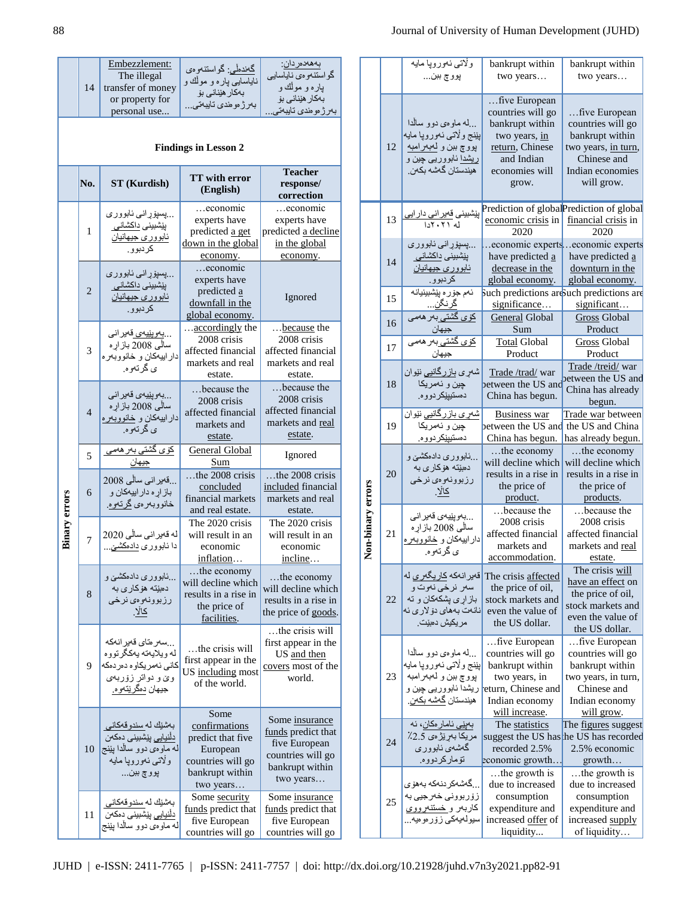|                      | 14                                                              | Embezzlement:<br>The illegal<br>transfer of money<br>or property for<br>personal use                                   | گەندەڵى: گواستنەوەي<br>ناياسايي پار ه و موڵك و<br>بەكار ھێنانى بۆ<br>بەرز مومندى تايبەتى                    | بەھەدەردان:<br>گو استنەو ەي ناياسايى<br>پار ه و موڵك و<br>بەكار ھێنانى بۆ<br>بەرژ مومندى تايبەتى.          |  |
|----------------------|-----------------------------------------------------------------|------------------------------------------------------------------------------------------------------------------------|-------------------------------------------------------------------------------------------------------------|------------------------------------------------------------------------------------------------------------|--|
|                      | <b>Findings in Lesson 2</b>                                     |                                                                                                                        |                                                                                                             |                                                                                                            |  |
|                      | <b>TT</b> with error<br>No.<br><b>ST</b> (Kurdish)<br>(English) |                                                                                                                        | <b>Teacher</b><br>response/<br>correction                                                                   |                                                                                                            |  |
|                      | 1                                                               | پسپۆرانى ئابوورى<br>بیشبینی <u>داکشانی</u><br><u>ئابووري جيهانيان</u><br>كردبوو.                                       | economic<br>experts have<br>predicted a get<br>down in the global<br>economy.                               | economic<br>experts have<br>predicted a decline<br>in the global<br>economy.                               |  |
|                      | $\overline{2}$                                                  | پسپۆړانىي ئابوورى<br>بِیْشْبِینی <u>داکشانی</u><br>ئابووري جيهانيان<br>کر دبو و .                                      | economic<br>experts have<br>predicted a<br>downfall in the<br>global economy.                               | Ignored                                                                                                    |  |
|                      | 3                                                               | <u>بەويێيەي ق</u> ەير انى<br>سالَّمي 2008 بازاره<br>دار ابیهکان و خانووبهره<br>ي گرتهوه.                               | accordingly the<br>2008 crisis<br>affected financial<br>markets and real<br>estate.                         | because the<br>2008 crisis<br>affected financial<br>markets and real<br>estate.                            |  |
|                      | $\overline{4}$                                                  | بەوپێيەي قەيرانى<br>سالْمی 2008 باز اړه<br>دار ابیهکان و <u>خانووبهره</u><br>ي گرتهوه.                                 | because the<br>2008 crisis<br>affected financial<br>markets and<br>estate.                                  | because the<br>2008 crisis<br>affected financial<br>markets and real<br>estate.                            |  |
|                      | 5                                                               | <u>کۆي گشتى ب</u> ەر ھە <i>مى</i><br><u>جيهان</u>                                                                      | General Global<br>Sum                                                                                       | Ignored                                                                                                    |  |
|                      | 6                                                               | قەبر انى ساڵى 2008<br>باز اړه دار اييهکان و<br>خانووبەرەي <u>گرتەوە</u> .                                              | the 2008 crisis<br>concluded<br>financial markets<br>and real estate.                                       | the 2008 crisis<br>included financial<br>markets and real<br>estate.                                       |  |
| <b>Binary errors</b> | $\tau$                                                          | له قەبر انى سالْى 2020<br>دا ئابوورى <u>دادمكشىّ</u>                                                                   | The 2020 crisis<br>will result in an<br>economic<br>inflation                                               | The 2020 crisis<br>will result in an<br>economic<br>incline.                                               |  |
|                      | 8                                                               | نابو و ر ی دادمکشن و<br>دميټنه هوکار ی به<br>رزبوونهوهي نرخى<br>كالا.                                                  | the economy<br>will decline which<br>results in a rise in<br>the price of<br>facilities.                    | the economy<br>will decline which<br>results in a rise in<br>the price of goods.                           |  |
|                      | 9                                                               | سەر متاي قەير انەكە<br>له ويلاياته يهكگرتووه<br>كاني ئەمريكاوە دەردەكە<br>وێ و دواتر زۆربەي<br>جيهان <u>دهگرنتهوه.</u> | the crisis will<br>first appear in the<br>US including most<br>of the world.                                | the crisis will<br>first appear in the<br>US and then<br>covers most of the<br>world.                      |  |
|                      | 10                                                              | بەشنك لەسندوقەكانى<br>دأنيايى ييشبينى دمكنن<br>له ماوەي دوو سالْدا پێنج<br>ولاتي ئەوروپا مايە<br>پوو چ ببن…            | Some<br>confirmations<br>predict that five<br>European<br>countries will go<br>bankrupt within<br>two years | Some insurance<br>funds predict that<br>five European<br>countries will go<br>bankrupt within<br>two years |  |
|                      | 11                                                              | بەشنك لەسندوقەكانى<br>دأنيايى ييشبينى دمكنن<br>له ماوەي دوو سالْدا پێنج                                                | Some security<br>funds predict that<br>five European<br>countries will go                                   | Some <i>insurance</i><br>funds predict that<br>five European<br>countries will go                          |  |

|                   |    | ولاتي نەوروپا مايە<br>پوو چ ببن…                                                                                                                    | bankrupt within<br>two years                                                                                                     | bankrupt within<br>two years                                                                                                |
|-------------------|----|-----------------------------------------------------------------------------------------------------------------------------------------------------|----------------------------------------------------------------------------------------------------------------------------------|-----------------------------------------------------------------------------------------------------------------------------|
|                   | 12 | …له ماوهي دوو سالدا<br>بِيْنج ولاتي نهوروپا مايه<br>پووچ ببن و <u>لمب</u> ر امبه<br><u>ریشدا</u> ئابووریبی چین و<br>.<br>ھیندستان گەشە بكە <i>ن</i> | five European<br>countries will go<br>bankrupt within<br>two years, in<br>return, Chinese<br>and Indian<br>economies will        | five European<br>countries will go<br>bankrupt within<br>two years, in turn,<br>Chinese and<br>Indian economies             |
|                   |    |                                                                                                                                                     | grow.                                                                                                                            | will grow.                                                                                                                  |
|                   | 13 | پیشبینی <u>ق</u> میر انی دار ایی<br>له ۲۰۲۱دا                                                                                                       | economic crisis in<br>2020                                                                                                       | Prediction of global Prediction of global<br>financial crisis in<br>2020                                                    |
|                   | 14 | پسپۆړانى ئابوورى<br>بِیْشْبین <i>ی</i> <u>داکشانی</u><br>ئابوورى جيهانيان<br>کر دبوو .                                                              | have predicted a<br>decrease in the<br>global economy.                                                                           | economic expertseconomic experts<br>have predicted a<br>downturn in the<br>global economy.                                  |
|                   | 15 | ئەم جۆر ە پێشبینیانە<br><u>گرنگن.</u>                                                                                                               | Such predictions are uch predictions are<br>significance                                                                         | significant                                                                                                                 |
|                   | 16 | ۔<br>کۆي گشتى بەر ھە <i>مى</i><br>جيهان                                                                                                             | General Global<br>Sum                                                                                                            | Gross Global<br>Product                                                                                                     |
|                   | 17 | جيهان                                                                                                                                               | <b>Total Global</b><br>Product                                                                                                   | Gross Global<br>Product                                                                                                     |
|                   | 18 | شەر <i>ي</i> باز رگانيى نێوان<br>چين و ئەمرىكا<br>دەستيپێكردووه.                                                                                    | Trade /trad/ war<br>between the US and<br>China has begun.                                                                       | Trade /treid/ war<br>petween the US and<br>China has already<br>begun.                                                      |
|                   | 19 | <u>شەرى بازرگانيى</u> نێوان<br>چين و ئەمريكا<br>دەستيپيكر دووه.                                                                                     | <b>Business war</b><br>between the US and<br>China has begun.                                                                    | Trade war between<br>the US and China<br>has already begun.                                                                 |
|                   | 20 | …نابووري دادمكشني و<br>دميټه هوکاری به<br>رزبوونەوەي نرخى<br>كالا.                                                                                  | the economy<br>will decline which<br>results in a rise in<br>the price of<br>product.                                            | the economy<br>will decline which<br>results in a rise in<br>the price of<br>products.                                      |
| Non-binary errors | 21 | بەوپێيەي قەيرانى<br>سالْي 2008 باز ار ه<br>دار ابيهكان و خانووبهره<br>ي گرتهوه.                                                                     | because the<br>2008 crisis<br>affected financial<br>markets and<br>accommodation.                                                | because the<br>2008 crisis<br>affected financial<br>markets and real<br>estate.                                             |
|                   | 22 | قەير انەكە كاريگەرى لە<br>سهر نرخي نهوت و<br>باز ار ی بشکهکان و ته<br>نانەت بەھاي دۆلار ي ئە<br>مريكيش دمييت.                                       | The crisis affected<br>the price of oil,<br>stock markets and<br>even the value of<br>the US dollar.                             | The crisis will<br>have an effect on<br>the price of oil,<br>stock markets and<br>even the value of<br>the US dollar.       |
|                   | 23 | …له ماوهي دوو سالدا<br>بِيْنج ولاتي نهوروپا مايه<br>پووچ ببن و لهبهرامبه<br>ريشدا ئابووريى چين و<br>ھیندستان گەشە بكەن.                             | five European<br>countries will go<br>bankrupt within<br>two years, in<br>eturn, Chinese and<br>Indian economy<br>will increase. | five European<br>countries will go<br>bankrupt within<br>two years, in turn,<br>Chinese and<br>Indian economy<br>will grow. |
|                   | 24 | بەينى ئامار مكان، ئە<br>مريكا بەرێڑەى 2.5٪<br>گەشەي ئابوورى<br>تۆماركردووه.                                                                         | The statistics<br>recorded 2.5%<br>economic growth                                                                               | The figures suggest<br>suggest the US has he US has recorded<br>2.5% economic<br>growth                                     |
|                   | 25 | گەشەكر دنەكە بەھۆى<br>زۆربوونى خەرجيى بە<br>کاربەر <u>و خستنەرووي</u><br>سيولەيەكى زۆرەوەيە…                                                        | the growth is<br>due to increased<br>consumption<br>expenditure and<br>increased offer of<br>liquidity                           | the growth is<br>due to increased<br>consumption<br>expenditure and<br>increased supply<br>of liquidity                     |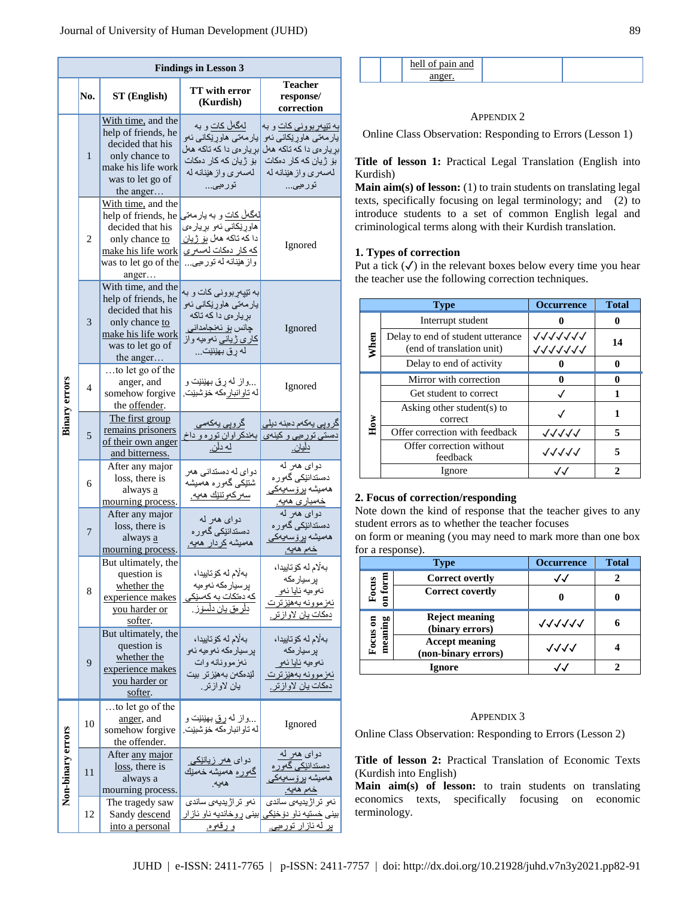| <b>Findings in Lesson 3</b> |                |                                                                                                                                        |                                                                                                                                                 |                                                                                                                                                 |
|-----------------------------|----------------|----------------------------------------------------------------------------------------------------------------------------------------|-------------------------------------------------------------------------------------------------------------------------------------------------|-------------------------------------------------------------------------------------------------------------------------------------------------|
|                             | No.            | ST (English)                                                                                                                           | TT with error<br>(Kurdish)                                                                                                                      | <b>Teacher</b><br>response/<br>correction                                                                                                       |
|                             | $\mathbf{1}$   | With time, and the<br>help of friends, he<br>decided that his<br>only chance to<br>make his life work<br>was to let go of<br>the anger | لەگەڵ كات و بە<br>پار مەتى ھاورێكانى ئەو<br>بړيار مي دا كه تاكه ههل<br>بۆ ژيان كه كار دمكات<br>لەسەرى واز ھێنانە لە<br>تورەيى                   | <u>به تێپ</u> ەر بوونى كات و بە<br>پار مەتى ھاورنكانى ئەو<br>بړیار می دا که تاکه هال<br>بۆ ژپان كه كار دەكات<br>لەسەرى واز ھێنانە لە<br>تورميي… |
|                             | $\overline{c}$ | With time, and the<br>help of friends, he<br>decided that his<br>only chance to<br>make his life work<br>was to let go of the<br>anger | لەگەلْ كات و بە يار مەتى<br>هاوړ ێکاني ئەو بړيار ەي<br>دا كه تاكه هەل بۆ ژپان<br>كه كار دمكات لهسهرى<br>واز هینانه له تور میی                   | Ignored                                                                                                                                         |
|                             | 3              | With time, and the<br>help of friends, he<br>decided that his<br>only chance to<br>make his life work<br>was to let go of<br>the anger | به نټپهر بووني کات و به<br>پار مەتى ھاورنكانى ئەو<br>بړيار می دا که تاکه<br>چانس ب <u>ۆ ئەنجامدانى</u><br>كاري ژياني ئەوەيە واز<br>له رق بهێنێت | Ignored                                                                                                                                         |
| <b>Binary errors</b>        | 4              | to let go of the<br>anger, and<br>somehow forgive<br>the offender.                                                                     | واز له رق بهێنێت و<br>له تاو انبار مکه خوشبيت.                                                                                                  | Ignored                                                                                                                                         |
|                             | 5              | The first group<br>remains prisoners<br>of their own anger<br>and bitterness.                                                          | <u>گروپی</u> پهکەمی<br>بهندکر اوان توره و داخ<br><u>له دڵن.</u>                                                                                 | گرویی یهکهم دهنه دیلی<br>دهستی تور میی و کینه <i>ی</i><br><u>دليان.</u>                                                                         |
|                             | 6              | After any major<br>loss, there is<br>always a<br>mourning process.                                                                     | دوای له دمستدانی هەر<br>شنتیکی گەورە ھەمىشە<br>سەركەوتتێك ھەيە.                                                                                 | دواي هەر لە<br>دەستدانێكى گەورە<br>ھەمىشە برۆسەيەكى<br>خەمبارى ھەيە.                                                                            |
|                             | 7              | After any major<br>loss, there is<br>always a<br>mourning process.                                                                     | دواي هەر لە<br>دەستدانێکى گەور ە<br>هەمىشە كردار ھەيە.                                                                                          | دواي هەر لە<br>دەستدانێكى گەور ە<br>ھەمىشە برۆسەيەكى<br>خەم ھەيە.                                                                               |
|                             | 8              | But ultimately, the<br>question is<br>whether the<br>experience makes<br>you harder or<br>softer.                                      | بەلام لە كۆتاييدا،<br>پرسيار مكه ئەوميە<br>که دمتکات به کهسیکی<br>دلْر ەق يان دلسۆز .                                                           | بەلّام لە كۆتاييدا،<br>پرسپار مکه<br>ئەوەيە <u>ئايا ئە</u> و<br><u>ئەزموونە بەھێزىرت</u><br><u>دمكات يان لاواز تر .</u>                         |
|                             | 9              | But ultimately, the<br>question is<br>whether the<br>experience makes<br>you harder or<br>softer.                                      | بەلام لە كۆتاييدا،<br>بر سيار مكه ئەو ميە ئەو<br>ئەزموونانە وات<br>لێدمکەن بەھێز تر بیت<br>بان لاوازنر.                                         | بەلام لە كۆتاييدا،<br>پرسپار مکه<br>ئەوەيە ئايا ئەو<br>ئەز موونە بەھێزىرت<br>دمكات يان لاوازتر.                                                 |
|                             | 10             | to let go of the<br>anger, and<br>somehow forgive<br>the offender.                                                                     | واز له ړق بهێنێت و<br>له تاو انبار مکه خوشبيت.                                                                                                  | Ignored                                                                                                                                         |
| Non-binary errors           | 11             | After any major<br>$loss,$ there is<br>always a<br>mourning process.                                                                   | دوای ههر زیانتکی<br>گەورە ھەمىشە خەمێك<br>هەيە.                                                                                                 | دواي <u>ه</u> ر له<br>دەستدانێكى گەور ە<br>ھەمىشە يرۆسەيەكى<br><u>خەم ھەيە.</u>                                                                 |
|                             | 12             | The tragedy saw<br>Sandy descend<br>into a personal                                                                                    | ئەو تراژيديەي ساندى<br><u>و رقەوه.</u>                                                                                                          | ئەو تراژيديەي ساندى<br>بینی <u>خستی</u> ه ناو دوخیکی <mark>بینی ر وخاندیه ناو ئاز ار</mark><br><u>له ئازار تورمیی.</u>                          |

| $n \cdot n$<br>$n \epsilon$<br> |  |
|---------------------------------|--|
|                                 |  |

# APPENDIX 2

Online Class Observation: Responding to Errors (Lesson 1)

**Title of lesson 1:** Practical Legal Translation (English into Kurdish)

**Main aim(s) of lesson:** (1) to train students on translating legal texts, specifically focusing on legal terminology; and (2) to introduce students to a set of common English legal and criminological terms along with their Kurdish translation.

# **1. Types of correction**

Put a tick  $(\checkmark)$  in the relevant boxes below every time you hear the teacher use the following correction techniques.

|      | <b>Type</b>                                                    | <b>Occurrence</b>  | <b>Total</b> |
|------|----------------------------------------------------------------|--------------------|--------------|
|      | Interrupt student                                              |                    |              |
| When | Delay to end of student utterance<br>(end of translation unit) | 1111111<br>1111111 | 14           |
|      | Delay to end of activity                                       |                    |              |
|      | Mirror with correction                                         |                    |              |
|      | Get student to correct                                         |                    |              |
| How  | Asking other student(s) to<br>correct                          |                    | 1            |
|      | Offer correction with feedback                                 | イイイイイ              | 5            |
|      | Offer correction without<br>feedback                           | 11111              | 5            |
|      | Ignore                                                         |                    |              |

# **2. Focus of correction/responding**

Note down the kind of response that the teacher gives to any student errors as to whether the teacher focuses

on form or meaning (you may need to mark more than one box for a response).

|              | <b>Type</b>                                  | <b>Occurrence</b> | <b>Total</b> |
|--------------|----------------------------------------------|-------------------|--------------|
| <b>Corn</b>  | <b>Correct overtly</b>                       |                   |              |
| $rac{1}{2}$  | <b>Correct covertly</b>                      |                   |              |
| meaning<br>5 | <b>Reject meaning</b><br>(binary errors)     | 77777             |              |
| Focus        | <b>Accept meaning</b><br>(non-binary errors) | マイイイ              |              |
|              | Ignore                                       |                   |              |

## APPENDIX 3

Online Class Observation: Responding to Errors (Lesson 2)

**Title of lesson 2:** Practical Translation of Economic Texts (Kurdish into English)

**Main aim(s) of lesson:** to train students on translating economics texts, specifically focusing on economic terminology.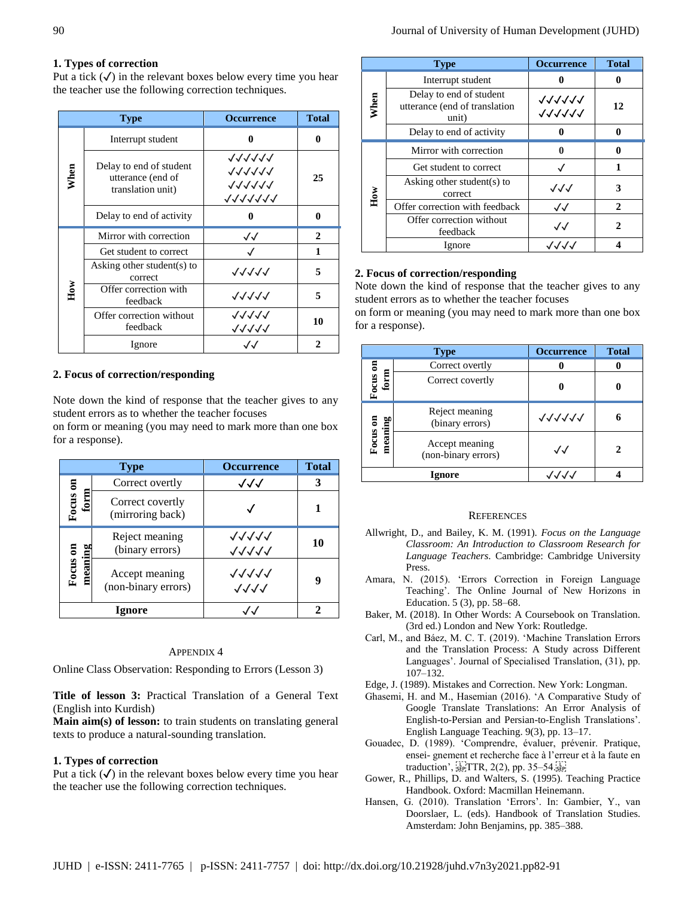# **1. Types of correction**

Put a tick  $(\checkmark)$  in the relevant boxes below every time you hear the teacher use the following correction techniques.

|      | <b>Type</b>                                                       | <b>Occurrence</b>                                  | <b>Total</b> |
|------|-------------------------------------------------------------------|----------------------------------------------------|--------------|
| When | Interrupt student                                                 | 0                                                  | 0            |
|      | Delay to end of student<br>utterance (end of<br>translation unit) | 77777<br>111111<br><b>111111</b><br><b>1111111</b> | 25           |
|      | Delay to end of activity                                          | 0                                                  | 0            |
| How  | Mirror with correction                                            | √√                                                 | $\mathbf{2}$ |
|      | Get student to correct                                            |                                                    | 1            |
|      | Asking other student(s) to<br>correct                             | 77777                                              | 5            |
|      | Offer correction with<br>feedback                                 | ノノノノノ                                              | 5            |
|      | Offer correction without<br>feedback                              | ノノノノノ<br>11111                                     | 10           |
|      | Ignore                                                            | $\sqrt{\sqrt{2}}$                                  | 2            |

# **2. Focus of correction/responding**

Note down the kind of response that the teacher gives to any student errors as to whether the teacher focuses

on form or meaning (you may need to mark more than one box for a response).

| <b>Type</b> |                                       | <b>Occurrence</b> | <b>Total</b> |
|-------------|---------------------------------------|-------------------|--------------|
| 5           | Correct overtly                       | √√√               |              |
| Focus       | Correct covertly<br>(mirroring back)  |                   |              |
| 5           | Reject meaning<br>(binary errors)     | ヘヘヘヘヘ<br>11111    | 10           |
| Focus       | Accept meaning<br>(non-binary errors) | ノノノノノ             |              |
| lgnore      |                                       |                   |              |

# APPENDIX 4

Online Class Observation: Responding to Errors (Lesson 3)

**Title of lesson 3:** Practical Translation of a General Text (English into Kurdish)

**Main aim(s) of lesson:** to train students on translating general texts to produce a natural-sounding translation.

# **1. Types of correction**

Put a tick  $\mathcal{F}$  in the relevant boxes below every time you hear the teacher use the following correction techniques.

| <b>Type</b> |                                                                   | <b>Occurrence</b>        | <b>Total</b> |
|-------------|-------------------------------------------------------------------|--------------------------|--------------|
| When        | Interrupt student                                                 |                          |              |
|             | Delay to end of student<br>utterance (end of translation<br>unit) | 111111<br>111111         | 12           |
|             | Delay to end of activity                                          |                          | 0            |
| How         | Mirror with correction                                            |                          | 0            |
|             | Get student to correct                                            |                          | 1            |
|             | Asking other student(s) to<br>correct                             | $\sqrt{\sqrt{2}}$        | 3            |
|             | Offer correction with feedback                                    | √√                       | $\mathbf{2}$ |
|             | Offer correction without<br>feedback                              | $\mathcal{J}\mathcal{J}$ | 2            |
|             | Ignore                                                            | ノノノノ                     |              |

# **2. Focus of correction/responding**

Note down the kind of response that the teacher gives to any student errors as to whether the teacher focuses

on form or meaning (you may need to mark more than one box for a response).

|                     | <b>Type</b>                           | <b>Occurrence</b> | <b>Total</b> |
|---------------------|---------------------------------------|-------------------|--------------|
| Focus on<br>form    | Correct overtly                       |                   |              |
|                     | Correct covertly                      |                   |              |
| Focus on<br>meaning | Reject meaning<br>(binary errors)     | 111111            |              |
|                     | Accept meaning<br>(non-binary errors) | $\checkmark$      | 2            |
|                     | Ignore                                | JJJJ              |              |

#### **REFERENCES**

- Allwright, D., and Bailey, K. M. (1991). *Focus on the Language Classroom: An Introduction to Classroom Research for Language Teachers*. Cambridge: Cambridge University Press.
- Amara, N. (2015). 'Errors Correction in Foreign Language Teaching'. The Online Journal of New Horizons in Education. 5 (3), pp. 58–68.
- Baker, M. (2018). In Other Words: A Coursebook on Translation. (3rd ed.) London and New York: Routledge.
- Carl, M., and Báez, M. C. T. (2019). 'Machine Translation Errors and the Translation Process: A Study across Different Languages'. Journal of Specialised Translation, (31), pp. 107–132.
- Edge, J. (1989). Mistakes and Correction. New York: Longman.
- Ghasemi, H. and M., Hasemian (2016). 'A Comparative Study of Google Translate Translations: An Error Analysis of English-to-Persian and Persian-to-English Translations'. English Language Teaching. 9(3), pp. 13–17.
- Gouadec, D. (1989). 'Comprendre, évaluer, prévenir. Pratique, ensei- gnement et recherche face à l'erreur et à la faute en traduction',  $\frac{1}{25}$ TTR, 2(2), pp. 35–54. $\frac{1}{25}$
- Gower, R., Phillips, D. and Walters, S. (1995). Teaching Practice Handbook. Oxford: Macmillan Heinemann.
- Hansen, G. (2010). Translation 'Errors'. In: Gambier, Y., van Doorslaer, L. (eds). Handbook of Translation Studies. Amsterdam: John Benjamins, pp. 385–388.